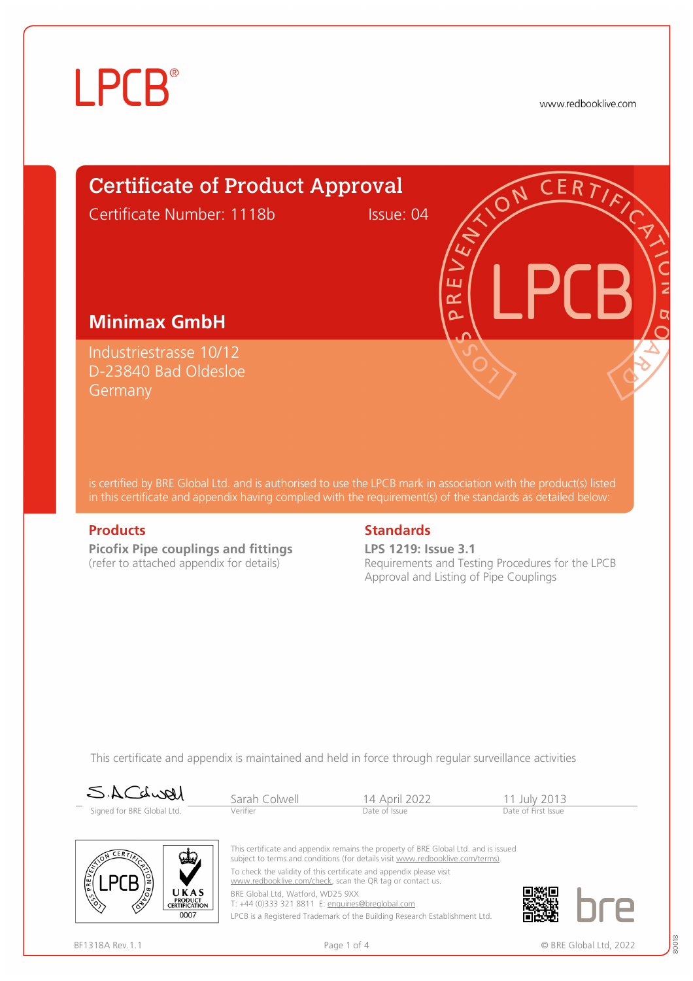www.redbooklive.com



is certified by BRE Global Ltd. and is authorised to use the LPCB mark in association with the product(s) listed in this certificate and appendix having complied with the requirement(s) of the standards as detailed below:

**Picofix Pipe couplings and fittings**  (refer to attached appendix for details)

#### **Products Standards**

**LPS 1219: Issue 3.1** Requirements and Testing Procedures for the LPCB Approval and Listing of Pipe Couplings

This certificate and appendix is maintained and held in force through regular surveillance activities

| SACLURI<br>-               | Sarah Colwell | 14 April 2022 | 11 July 2013        |
|----------------------------|---------------|---------------|---------------------|
| Signed for BRE Global Ltd. | Verifier      | Date of Issue | Date of First Issue |



This certificate and appendix remains the property of BRE Global Ltd. and is issued subject to terms and conditions (for details visit [www.redbooklive.com/terms\).](http://www.redbooklive.com/terms)) To check the validity of this certificate and appendix please visit [www.redbooklive.com/check,](http://www.redbooklive.com/check) scan the QR tag or contact us. BRE Global Ltd, Watford, WD25 9XX

T: +44 (0)333 321 8811 E: [enquiries@breglobal.com](mailto:enquiries@breglobal.com)

LPCB is a Registered Trademark of the Building Research Establishment Ltd.

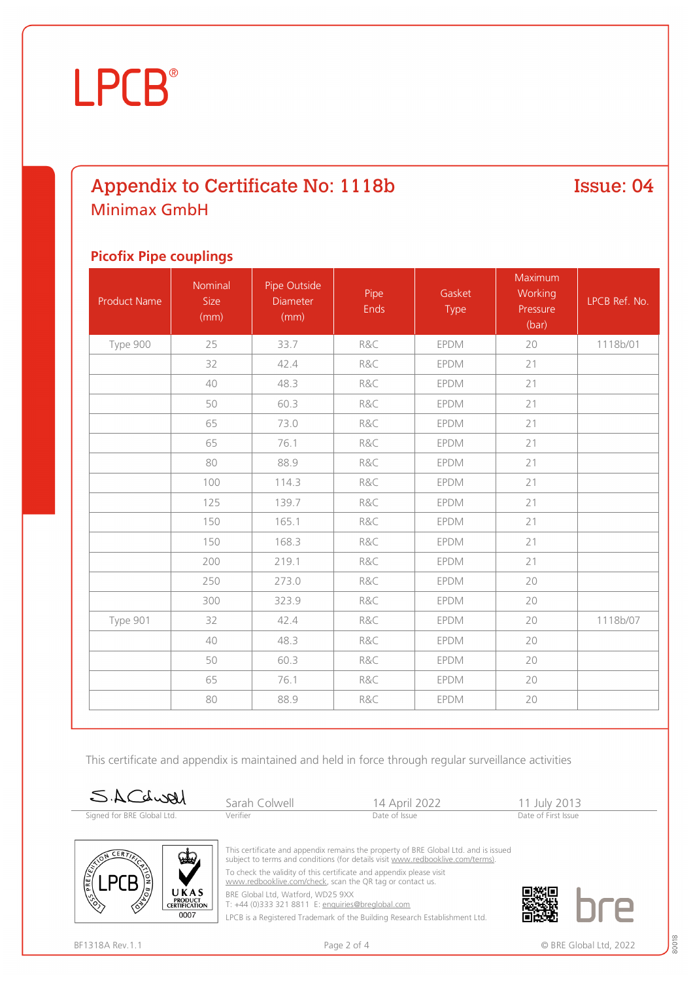### Appendix to Certificate No: 1118b Minimax GmbH

Issue: 04

#### **Picofix Pipe couplings**

| <b>Product Name</b> | Nominal<br>Size<br>(mm) | Pipe Outside<br>Diameter<br>(mm) | Pipe<br><b>Ends</b> | Gasket<br>Type | Maximum<br>Working<br>Pressure<br>(bar) | LPCB Ref. No. |
|---------------------|-------------------------|----------------------------------|---------------------|----------------|-----------------------------------------|---------------|
| Type 900            | 25                      | 33.7                             | R&C                 | EPDM           | 20                                      | 1118b/01      |
|                     | 32                      | 42.4                             | R&C                 | EPDM           | 21                                      |               |
|                     | 40                      | 48.3                             | R&C                 | <b>EPDM</b>    | 21                                      |               |
|                     | 50                      | 60.3                             | R&C                 | <b>EPDM</b>    | 21                                      |               |
|                     | 65                      | 73.0                             | R&C                 | <b>EPDM</b>    | 21                                      |               |
|                     | 65                      | 76.1                             | R&C                 | EPDM           | 21                                      |               |
|                     | 80                      | 88.9                             | R&C                 | <b>EPDM</b>    | 21                                      |               |
|                     | 100                     | 114.3                            | R&C                 | <b>EPDM</b>    | 21                                      |               |
|                     | 125                     | 139.7                            | R&C                 | <b>EPDM</b>    | 21                                      |               |
|                     | 150                     | 165.1                            | R&C                 | <b>EPDM</b>    | 21                                      |               |
|                     | 150                     | 168.3                            | R&C                 | EPDM           | 21                                      |               |
|                     | 200                     | 219.1                            | R&C                 | <b>EPDM</b>    | 21                                      |               |
|                     | 250                     | 273.0                            | R&C                 | <b>EPDM</b>    | 20                                      |               |
|                     | 300                     | 323.9                            | R&C                 | <b>EPDM</b>    | 20                                      |               |
| Type 901            | 32                      | 42.4                             | R&C                 | <b>EPDM</b>    | 20                                      | 1118b/07      |
|                     | 40                      | 48.3                             | R&C                 | <b>EPDM</b>    | 20                                      |               |
|                     | 50                      | 60.3                             | R&C                 | <b>EPDM</b>    | 20                                      |               |
|                     | 65                      | 76.1                             | R&C                 | <b>EPDM</b>    | 20                                      |               |
|                     | 80                      | 88.9                             | R&C                 | <b>EPDM</b>    | 20                                      |               |

This certificate and appendix is maintained and held in force through regular surveillance activities

| SACdwell                   | Sarah Colwell | 14 April 2022 | 11 July 2013        |  |
|----------------------------|---------------|---------------|---------------------|--|
| Signed for BRE Global Ltd. | Verifier      | Date of Issue | Date of First Issue |  |



This certificate and appendix remains the property of BRE Global Ltd. and is issued subject to terms and conditions (for details visit [www.redbooklive.com/terms\)](http://www.redbooklive.com/terms)). To check the validity of this certificate and appendix please visit

[www.redbooklive.com/check,](http://www.redbooklive.com/check) scan the QR tag or contact us.

BRE Global Ltd, Watford, WD25 9XX

T: +44 (0)333 321 8811 E: [enquiries@breglobal.com](mailto:enquiries@breglobal.com)

LPCB is a Registered Trademark of the Building Research Establishment Ltd.

80018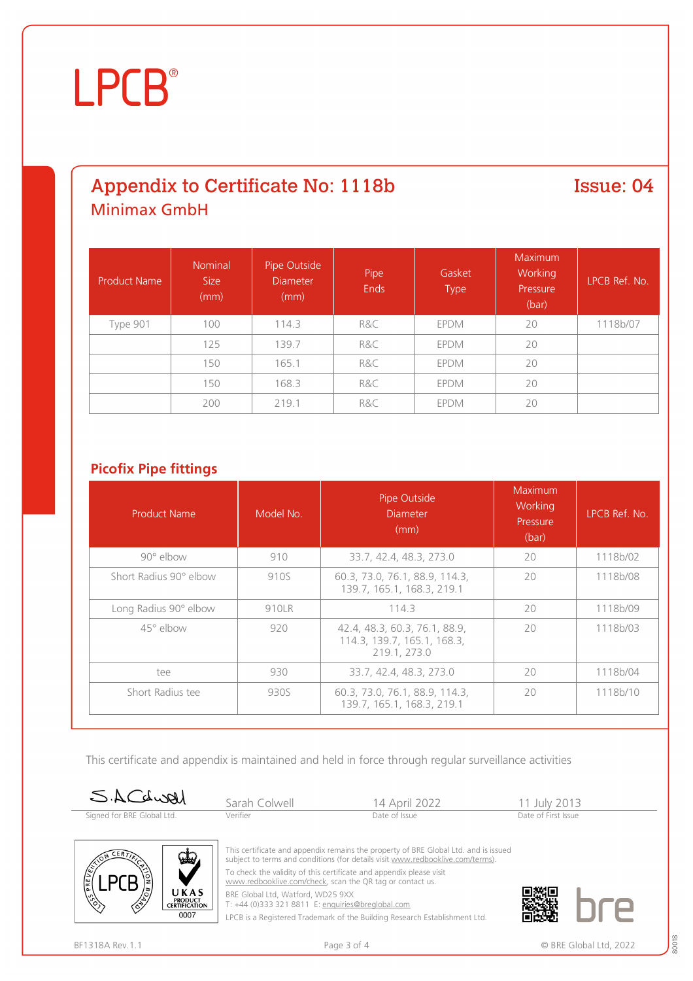### Appendix to Certificate No: 1118b Minimax GmbH

Issue: 04

| <b>Product Name</b> | <b>Nominal</b><br><b>Size</b><br>(mm) | Pipe Outside<br><b>Diameter</b><br>(mm) | Pipe<br><b>Ends</b> | Gasket<br><b>Type</b> | <b>Maximum</b><br>Working<br>Pressure<br>(bar) | LPCB Ref. No. |
|---------------------|---------------------------------------|-----------------------------------------|---------------------|-----------------------|------------------------------------------------|---------------|
| Type 901            | 100                                   | 114.3                                   | R&C                 | EPDM                  | 20                                             | 1118b/07      |
|                     | 125                                   | 139.7                                   | R&C                 | EPDM                  | 20                                             |               |
|                     | 150                                   | 165.1                                   | R&C                 | EPDM                  | 20                                             |               |
|                     | 150                                   | 168.3                                   | R&C                 | EPDM                  | 20                                             |               |
|                     | 200                                   | 219.1                                   | R&C                 | <b>EPDM</b>           | 20                                             |               |

### **Picofix Pipe fittings**

| <b>Product Name</b>    | Model No. | Pipe Outside<br><b>Diameter</b><br>(mm)                                      | Maximum<br>Working<br>Pressure<br>(bar) | LPCB Ref. No. |
|------------------------|-----------|------------------------------------------------------------------------------|-----------------------------------------|---------------|
| $90^\circ$ elbow       | 910       | 33.7, 42.4, 48.3, 273.0                                                      | 20                                      | 1118b/02      |
| Short Radius 90° elbow | 910S      | 60.3, 73.0, 76.1, 88.9, 114.3,<br>139.7, 165.1, 168.3, 219.1                 | 20                                      | 1118b/08      |
| Long Radius 90° elbow  | 910LR     | 114.3                                                                        | 20                                      | 1118b/09      |
| $45^\circ$ elbow       | 920       | 42.4, 48.3, 60.3, 76.1, 88.9,<br>114.3, 139.7, 165.1, 168.3,<br>219.1, 273.0 | 20                                      | 1118b/03      |
| tee                    | 930       | 33.7, 42.4, 48.3, 273.0                                                      | 20                                      | 1118b/04      |
| Short Radius tee       | 930S      | 60.3, 73.0, 76.1, 88.9, 114.3,<br>139.7. 165.1. 168.3. 219.1                 | 20                                      | 1118b/10      |

This certificate and appendix is maintained and held in force through regular surveillance activities

| SACdwal                    | Sarah Colwell | 14 April 2022 | 11 July 2013        |  |
|----------------------------|---------------|---------------|---------------------|--|
| Signed for BRE Global Ltd. | Verifier      | Date of Issue | Date of First Issue |  |



This certificate and appendix remains the property of BRE Global Ltd. and is issued subject to terms and conditions (for details visit [www.redbooklive.com/terms\)](http://www.redbooklive.com/terms)). To check the validity of this certificate and appendix please visit

[www.redbooklive.com/check,](http://www.redbooklive.com/check) scan the QR tag or contact us.

BRE Global Ltd, Watford, WD25 9XX

T: +44 (0)333 321 8811 E: [enquiries@breglobal.com](mailto:enquiries@breglobal.com)

LPCB is a Registered Trademark of the Building Research Establishment Ltd.

80018